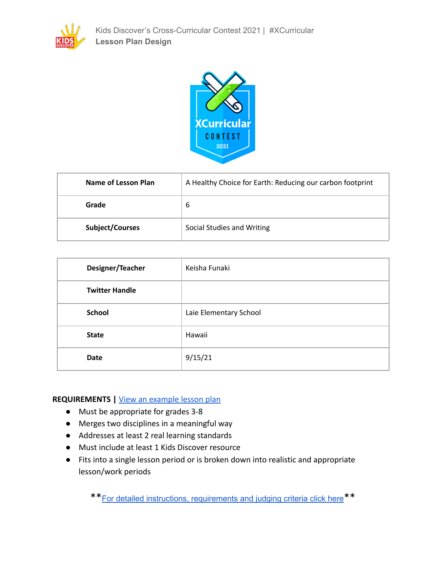



| Name of Lesson Plan | A Healthy Choice for Earth: Reducing our carbon footprint |  |  |
|---------------------|-----------------------------------------------------------|--|--|
| Grade               | 6                                                         |  |  |
| Subject/Courses     | Social Studies and Writing                                |  |  |

| Designer/Teacher      | Keisha Funaki          |
|-----------------------|------------------------|
| <b>Twitter Handle</b> |                        |
| <b>School</b>         | Laie Elementary School |
| <b>State</b>          | Hawaii                 |
| <b>Date</b>           | 9/15/21                |

# **REQUIREMENTS |** [View an example lesson plan](https://docs.google.com/document/d/1VbTvVNRMdeX5fyW3lznUXrfTNHl2uEDVsk9KEarhPnM/edit?usp=sharing)

- Must be appropriate for grades 3-8
- Merges two disciplines in a meaningful way
- Addresses at least 2 real learning standards
- Must include at least 1 Kids Discover resource
- Fits into a single lesson period or is broken down into realistic and appropriate lesson/work periods

\*\*For detailed instructions, [requirements](https://docs.google.com/document/d/1hLnCYar4EaBmT4pMTg5XsgPEe8RpFSsqlIHLrKXOFoM/edit#) and judging criteria click here\*\*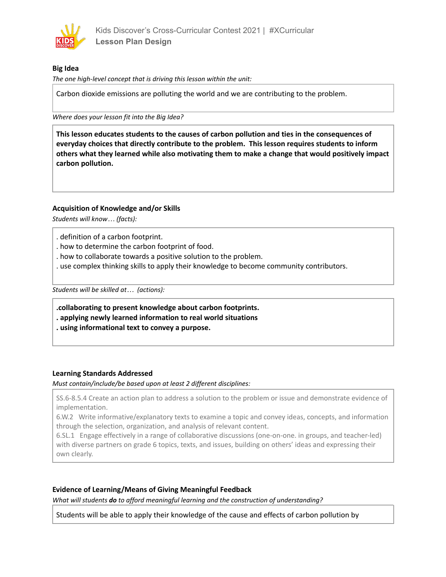

## **Big Idea**

*The one high-level concept that is driving this lesson within the unit:*

Carbon dioxide emissions are polluting the world and we are contributing to the problem.

*Where does your lesson fit into the Big Idea?*

**This lesson educates students to the causes of carbon pollution and ties in the consequences of everyday choices that directly contribute to the problem. This lesson requires students to inform others what they learned while also motivating them to make a change that would positively impact carbon pollution.**

## **Acquisition of Knowledge and/or Skills**

*Students will know… (facts):*

- . definition of a carbon footprint.
- . how to determine the carbon footprint of food.
- . how to collaborate towards a positive solution to the problem.
- . use complex thinking skills to apply their knowledge to become community contributors.

*Students will be skilled at… (actions):*

**.collaborating to present knowledge about carbon footprints.**

- **. applying newly learned information to real world situations**
- **. using informational text to convey a purpose.**

## **Learning Standards Addressed**

*Must contain/include/be based upon at least 2 different disciplines:*

SS.6-8.5.4 Create an action plan to address a solution to the problem or issue and demonstrate evidence of implementation.

6.W.2 Write informative/explanatory texts to examine a topic and convey ideas, concepts, and information through the selection, organization, and analysis of relevant content.

6.SL.1 Engage effectively in a range of collaborative discussions (one-on-one. in groups, and teacher-led) with diverse partners on grade 6 topics, texts, and issues, building on others' ideas and expressing their own clearly.

## **Evidence of Learning/Means of Giving Meaningful Feedback**

*What will students do to afford meaningful learning and the construction of understanding?*

Students will be able to apply their knowledge of the cause and effects of carbon pollution by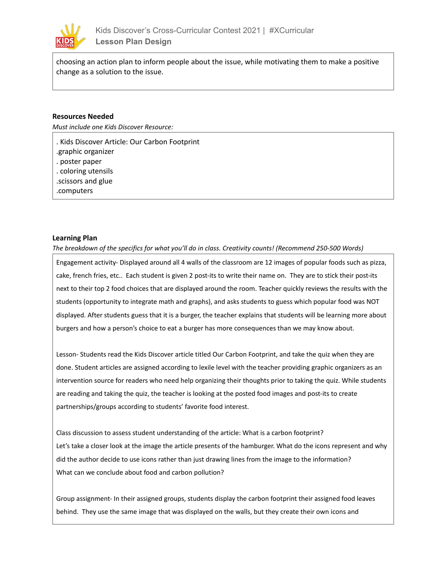

choosing an action plan to inform people about the issue, while motivating them to make a positive change as a solution to the issue.

#### **Resources Needed**

*Must include one Kids Discover Resource:*

. Kids Discover Article: Our Carbon Footprint .graphic organizer . poster paper . coloring utensils .scissors and glue .computers

#### **Learning Plan**

*The breakdown of the specifics for what you'll do in class. Creativity counts! (Recommend 250-500 Words)*

Engagement activity- Displayed around all 4 walls of the classroom are 12 images of popular foods such as pizza, cake, french fries, etc.. Each student is given 2 post-its to write their name on. They are to stick their post-its next to their top 2 food choices that are displayed around the room. Teacher quickly reviews the results with the students (opportunity to integrate math and graphs), and asks students to guess which popular food was NOT displayed. After students guess that it is a burger, the teacher explains that students will be learning more about burgers and how a person's choice to eat a burger has more consequences than we may know about.

Lesson- Students read the Kids Discover article titled Our Carbon Footprint, and take the quiz when they are done. Student articles are assigned according to lexile level with the teacher providing graphic organizers as an intervention source for readers who need help organizing their thoughts prior to taking the quiz. While students are reading and taking the quiz, the teacher is looking at the posted food images and post-its to create partnerships/groups according to students' favorite food interest.

Class discussion to assess student understanding of the article: What is a carbon footprint? Let's take a closer look at the image the article presents of the hamburger. What do the icons represent and why did the author decide to use icons rather than just drawing lines from the image to the information? What can we conclude about food and carbon pollution?

Group assignment- In their assigned groups, students display the carbon footprint their assigned food leaves behind. They use the same image that was displayed on the walls, but they create their own icons and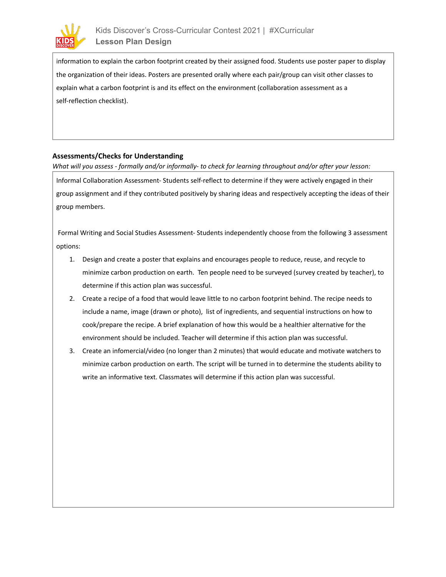

information to explain the carbon footprint created by their assigned food. Students use poster paper to display the organization of their ideas. Posters are presented orally where each pair/group can visit other classes to explain what a carbon footprint is and its effect on the environment (collaboration assessment as a self-reflection checklist).

#### **Assessments/Checks for Understanding**

What will you assess - formally and/or informally- to check for learning throughout and/or after your lesson:

Informal Collaboration Assessment- Students self-reflect to determine if they were actively engaged in their group assignment and if they contributed positively by sharing ideas and respectively accepting the ideas of their group members.

Formal Writing and Social Studies Assessment- Students independently choose from the following 3 assessment options:

- 1. Design and create a poster that explains and encourages people to reduce, reuse, and recycle to minimize carbon production on earth. Ten people need to be surveyed (survey created by teacher), to determine if this action plan was successful.
- 2. Create a recipe of a food that would leave little to no carbon footprint behind. The recipe needs to include a name, image (drawn or photo), list of ingredients, and sequential instructions on how to cook/prepare the recipe. A brief explanation of how this would be a healthier alternative for the environment should be included. Teacher will determine if this action plan was successful.
- 3. Create an infomercial/video (no longer than 2 minutes) that would educate and motivate watchers to minimize carbon production on earth. The script will be turned in to determine the students ability to write an informative text. Classmates will determine if this action plan was successful.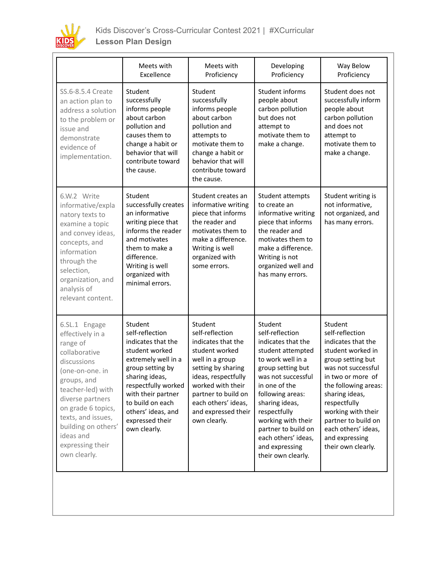

|                                                                                                                                                                                                                                                                              | Meets with<br>Excellence                                                                                                                                                                                                                                  | Meets with<br>Proficiency                                                                                                                                                                                                                    | Developing<br>Proficiency                                                                                                                                                                                                                                                                                                | Way Below<br>Proficiency                                                                                                                                                                                                                                                                                    |
|------------------------------------------------------------------------------------------------------------------------------------------------------------------------------------------------------------------------------------------------------------------------------|-----------------------------------------------------------------------------------------------------------------------------------------------------------------------------------------------------------------------------------------------------------|----------------------------------------------------------------------------------------------------------------------------------------------------------------------------------------------------------------------------------------------|--------------------------------------------------------------------------------------------------------------------------------------------------------------------------------------------------------------------------------------------------------------------------------------------------------------------------|-------------------------------------------------------------------------------------------------------------------------------------------------------------------------------------------------------------------------------------------------------------------------------------------------------------|
| SS.6-8.5.4 Create<br>an action plan to<br>address a solution<br>to the problem or<br>issue and<br>demonstrate<br>evidence of<br>implementation.                                                                                                                              | Student<br>successfully<br>informs people<br>about carbon<br>pollution and<br>causes them to<br>change a habit or<br>behavior that will<br>contribute toward<br>the cause.                                                                                | Student<br>successfully<br>informs people<br>about carbon<br>pollution and<br>attempts to<br>motivate them to<br>change a habit or<br>behavior that will<br>contribute toward<br>the cause.                                                  | Student informs<br>people about<br>carbon pollution<br>but does not<br>attempt to<br>motivate them to<br>make a change.                                                                                                                                                                                                  | Student does not<br>successfully inform<br>people about<br>carbon pollution<br>and does not<br>attempt to<br>motivate them to<br>make a change.                                                                                                                                                             |
| 6.W.2 Write<br>informative/expla<br>natory texts to<br>examine a topic<br>and convey ideas,<br>concepts, and<br>information<br>through the<br>selection,<br>organization, and<br>analysis of<br>relevant content.                                                            | Student<br>successfully creates<br>an informative<br>writing piece that<br>informs the reader<br>and motivates<br>them to make a<br>difference.<br>Writing is well<br>organized with<br>minimal errors.                                                   | Student creates an<br>informative writing<br>piece that informs<br>the reader and<br>motivates them to<br>make a difference.<br>Writing is well<br>organized with<br>some errors.                                                            | Student attempts<br>to create an<br>informative writing<br>piece that informs<br>the reader and<br>motivates them to<br>make a difference.<br>Writing is not<br>organized well and<br>has many errors.                                                                                                                   | Student writing is<br>not informative,<br>not organized, and<br>has many errors.                                                                                                                                                                                                                            |
| 6.SL.1 Engage<br>effectively in a<br>range of<br>collaborative<br>discussions<br>(one-on-one. in<br>groups, and<br>teacher-led) with<br>diverse partners<br>on grade 6 topics,<br>texts, and issues,<br>building on others'<br>ideas and<br>expressing their<br>own clearly. | Student<br>self-reflection<br>indicates that the<br>student worked<br>extremely well in a<br>group setting by<br>sharing ideas,<br>respectfully worked<br>with their partner<br>to build on each<br>others' ideas, and<br>expressed their<br>own clearly. | Student<br>self-reflection<br>indicates that the<br>student worked<br>well in a group<br>setting by sharing<br>ideas, respectfully<br>worked with their<br>partner to build on<br>each others' ideas,<br>and expressed their<br>own clearly. | Student<br>self-reflection<br>indicates that the<br>student attempted<br>to work well in a<br>group setting but<br>was not successful<br>in one of the<br>following areas:<br>sharing ideas,<br>respectfully<br>working with their<br>partner to build on<br>each others' ideas,<br>and expressing<br>their own clearly. | Student<br>self-reflection<br>indicates that the<br>student worked in<br>group setting but<br>was not successful<br>in two or more of<br>the following areas:<br>sharing ideas,<br>respectfully<br>working with their<br>partner to build on<br>each others' ideas,<br>and expressing<br>their own clearly. |